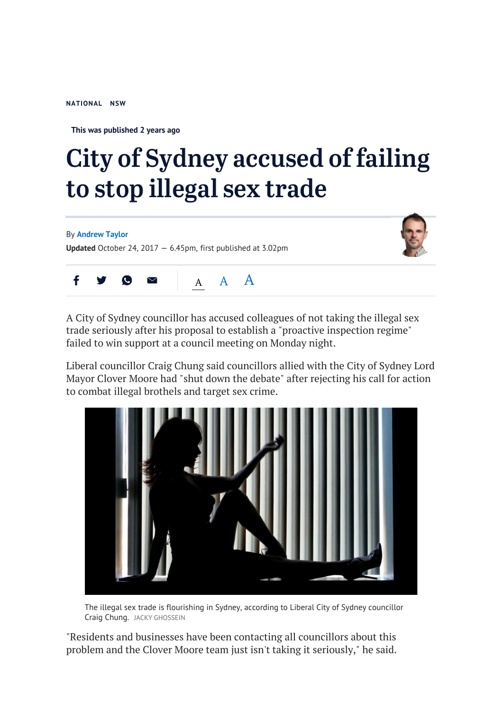**NATIONAL NSW**

**This was published 2 years ago**

## City of Sydney accused of failing to stop illegal sex trade

By **Andrew Taylor Updated** October 24, 2017 — 6.45pm, first published at 3.02pm





A City of Sydney councillor has accused colleagues of not taking the illegal sex trade seriously after his proposal to establish a "proactive inspection regime" failed to win support at a council meeting on Monday night.

Liberal councillor Craig Chung said councillors allied with the City of Sydney Lord Mayor Clover Moore had "shut down the debate" after rejecting his call for action to combat illegal brothels and target sex crime.



The illegal sex trade is flourishing in Sydney, according to Liberal City of Sydney councillor Craig Chung. JACKY GHOSSEIN

"Residents and businesses have been contacting all councillors about this problem and the Clover Moore team just isn't taking it seriously," he said.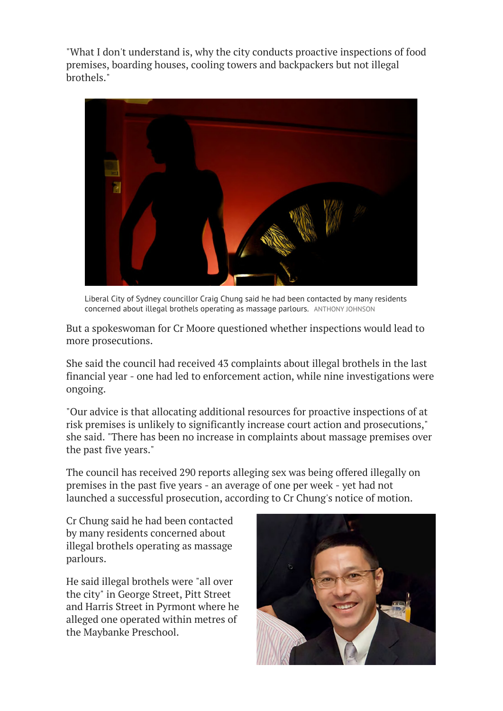"What I don't understand is, why the city conducts proactive inspections of food premises, boarding houses, cooling towers and backpackers but not illegal brothels."



Liberal City of Sydney councillor Craig Chung said he had been contacted by many residents concerned about illegal brothels operating as massage parlours. ANTHONY JOHNSON

But a spokeswoman for Cr Moore questioned whether inspections would lead to more prosecutions.

She said the council had received 43 complaints about illegal brothels in the last financial year - one had led to enforcement action, while nine investigations were ongoing.

"Our advice is that allocating additional resources for proactive inspections of at risk premises is unlikely to significantly increase court action and prosecutions," she said. "There has been no increase in complaints about massage premises over the past five years."

The council has received 290 reports alleging sex was being offered illegally on premises in the past five years - an average of one per week - yet had not launched a successful prosecution, according to Cr Chung's notice of motion.

Cr Chung said he had been contacted by many residents concerned about illegal brothels operating as massage parlours.

He said illegal brothels were "all over the city" in George Street, Pitt Street and Harris Street in Pyrmont where he alleged one operated within metres of the Maybanke Preschool.

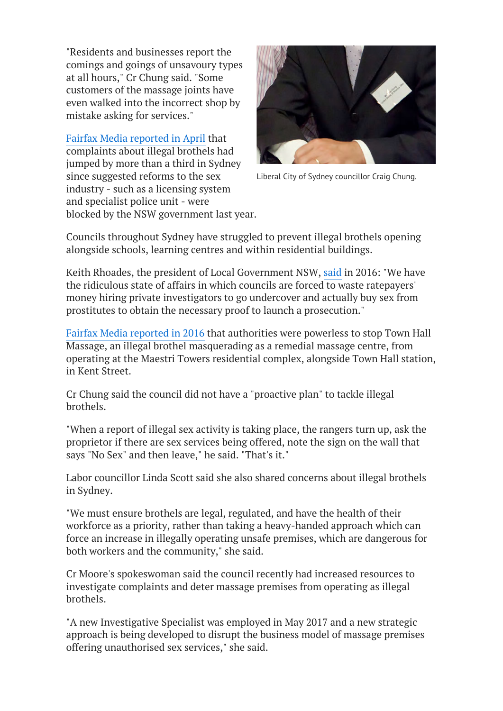"Residents and businesses report the comings and goings of unsavoury types at all hours," Cr Chung said. "Some customers of the massage joints have even walked into the incorrect shop by mistake asking for services."

Fairfax Media reported in April that complaints about illegal brothels had jumped by more than a third in Sydney since suggested reforms to the sex industry - such as a licensing system and specialist police unit - were blocked by the NSW government last year.



Liberal City of Sydney councillor Craig Chung.

Councils throughout Sydney have struggled to prevent illegal brothels opening alongside schools, learning centres and within residential buildings.

Keith Rhoades, the president of Local Government NSW, said in 2016: "We have the ridiculous state of affairs in which councils are forced to waste ratepayers' money hiring private investigators to go undercover and actually buy sex from prostitutes to obtain the necessary proof to launch a prosecution."

Fairfax Media reported in 2016 that authorities were powerless to stop Town Hall Massage, an illegal brothel masquerading as a remedial massage centre, from operating at the Maestri Towers residential complex, alongside Town Hall station, in Kent Street.

Cr Chung said the council did not have a "proactive plan" to tackle illegal brothels.

"When a report of illegal sex activity is taking place, the rangers turn up, ask the proprietor if there are sex services being offered, note the sign on the wall that says "No Sex" and then leave," he said. "That's it."

Labor councillor Linda Scott said she also shared concerns about illegal brothels in Sydney.

"We must ensure brothels are legal, regulated, and have the health of their workforce as a priority, rather than taking a heavy-handed approach which can force an increase in illegally operating unsafe premises, which are dangerous for both workers and the community," she said.

Cr Moore's spokeswoman said the council recently had increased resources to investigate complaints and deter massage premises from operating as illegal brothels.

"A new Investigative Specialist was employed in May 2017 and a new strategic approach is being developed to disrupt the business model of massage premises offering unauthorised sex services," she said.